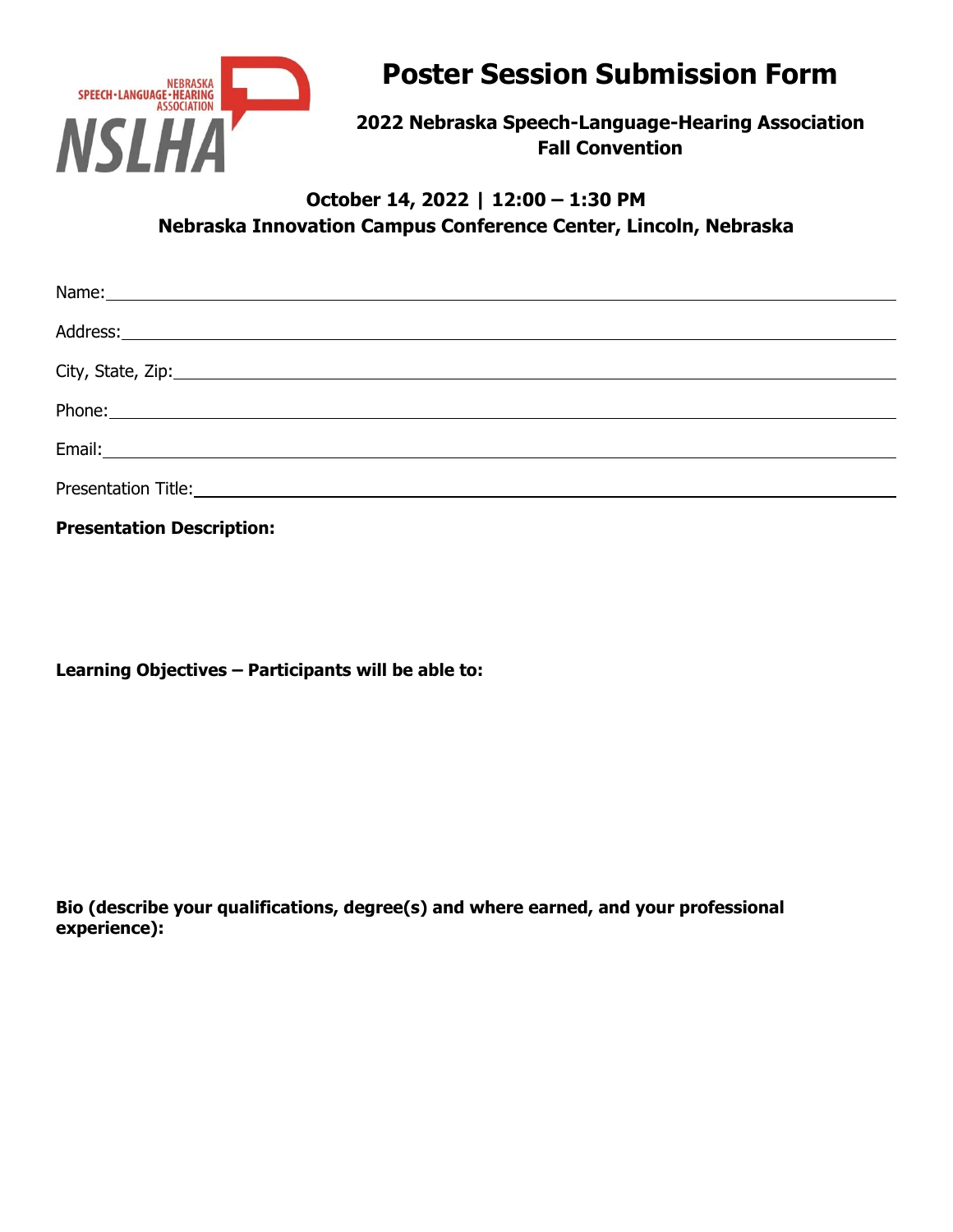

# **Poster Session Submission Form**

**2022 Nebraska Speech-Language-Hearing Association Fall Convention** 

## **October 14, 2022 | 12:00 – 1:30 PM Nebraska Innovation Campus Conference Center, Lincoln, Nebraska**

| __________ |
|------------|

**Presentation Description:** 

**Learning Objectives – Participants will be able to:** 

**Bio (describe your qualifications, degree(s) and where earned, and your professional experience):**